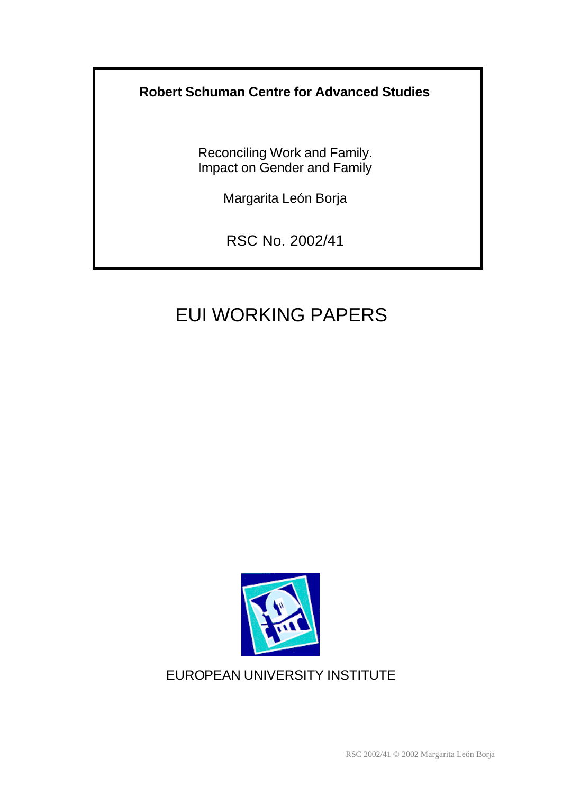# **Robert Schuman Centre for Advanced Studies**

Reconciling Work and Family. Impact on Gender and Family

Margarita León Borja

RSC No. 2002/41

# EUI WORKING PAPERS



# EUROPEAN UNIVERSITY INSTITUTE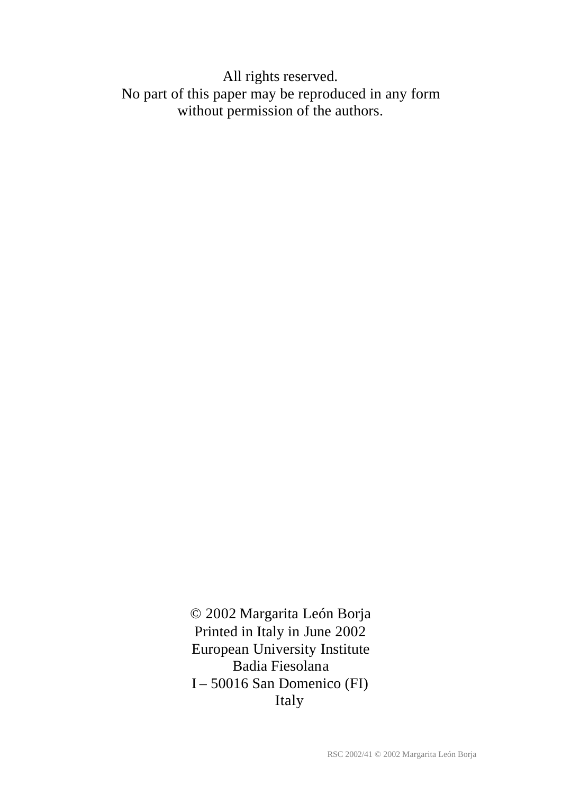All rights reserved. No part of this paper may be reproduced in any form without permission of the authors.

> © 2002 Margarita León Borja Printed in Italy in June 2002 European University Institute Badia Fiesolana I – 50016 San Domenico (FI) Italy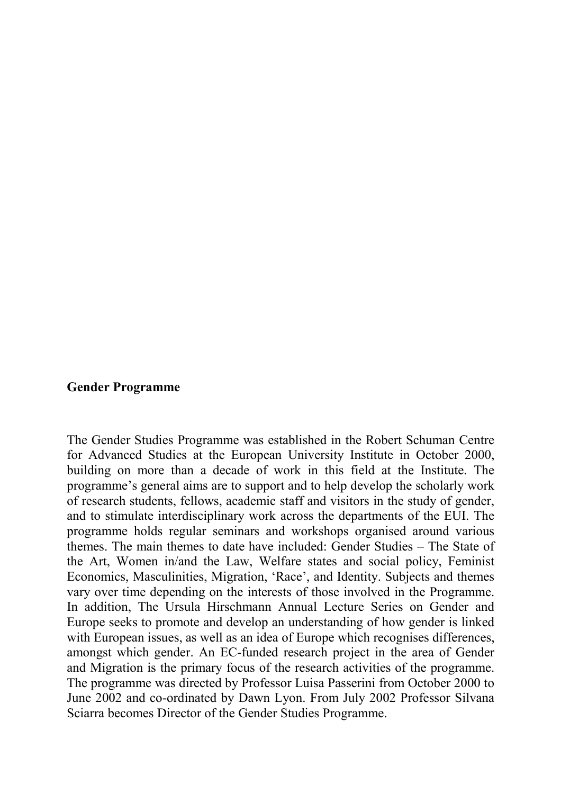#### **Gender Programme**

The Gender Studies Programme was established in the Robert Schuman Centre for Advanced Studies at the European University Institute in October 2000, building on more than a decade of work in this field at the Institute. The programme's general aims are to support and to help develop the scholarly work of research students, fellows, academic staff and visitors in the study of gender, and to stimulate interdisciplinary work across the departments of the EUI. The programme holds regular seminars and workshops organised around various themes. The main themes to date have included: Gender Studies – The State of the Art, Women in/and the Law, Welfare states and social policy, Feminist Economics, Masculinities, Migration, 'Race', and Identity. Subjects and themes vary over time depending on the interests of those involved in the Programme. In addition, The Ursula Hirschmann Annual Lecture Series on Gender and Europe seeks to promote and develop an understanding of how gender is linked with European issues, as well as an idea of Europe which recognises differences, amongst which gender. An EC-funded research project in the area of Gender and Migration is the primary focus of the research activities of the programme. The programme was directed by Professor Luisa Passerini from October 2000 to June 2002 and co-ordinated by Dawn Lyon. From July 2002 Professor Silvana Sciarra becomes Director of the Gender Studies Programme.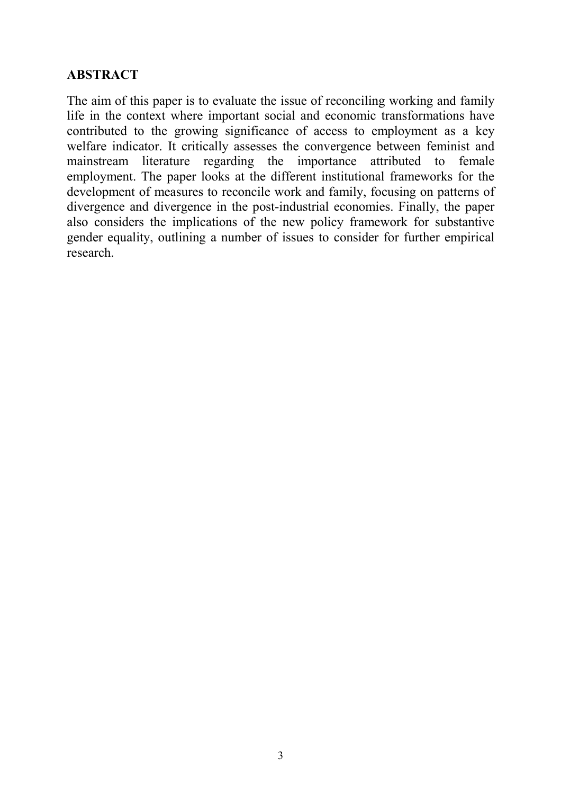## **ABSTRACT**

The aim of this paper is to evaluate the issue of reconciling working and family life in the context where important social and economic transformations have contributed to the growing significance of access to employment as a key welfare indicator. It critically assesses the convergence between feminist and mainstream literature regarding the importance attributed to female employment. The paper looks at the different institutional frameworks for the development of measures to reconcile work and family, focusing on patterns of divergence and divergence in the post-industrial economies. Finally, the paper also considers the implications of the new policy framework for substantive gender equality, outlining a number of issues to consider for further empirical research.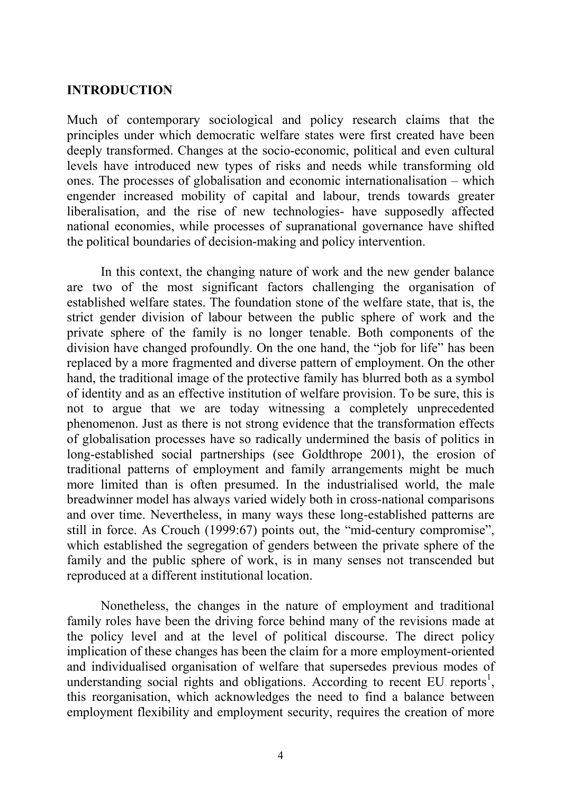#### **INTRODUCTION**

Much of contemporary sociological and policy research claims that the principles under which democratic welfare states were first created have been deeply transformed. Changes at the socio-economic, political and even cultural levels have introduced new types of risks and needs while transforming old ones. The processes of globalisation and economic internationalisation – which engender increased mobility of capital and labour, trends towards greater liberalisation, and the rise of new technologies- have supposedly affected national economies, while processes of supranational governance have shifted the political boundaries of decision-making and policy intervention.

In this context, the changing nature of work and the new gender balance are two of the most significant factors challenging the organisation of established welfare states. The foundation stone of the welfare state, that is, the strict gender division of labour between the public sphere of work and the private sphere of the family is no longer tenable. Both components of the division have changed profoundly. On the one hand, the "job for life" has been replaced by a more fragmented and diverse pattern of employment. On the other hand, the traditional image of the protective family has blurred both as a symbol of identity and as an effective institution of welfare provision. To be sure, this is not to argue that we are today witnessing a completely unprecedented phenomenon. Just as there is not strong evidence that the transformation effects of globalisation processes have so radically undermined the basis of politics in long-established social partnerships (see Goldthrope 2001), the erosion of traditional patterns of employment and family arrangements might be much more limited than is often presumed. In the industrialised world, the male breadwinner model has always varied widely both in cross-national comparisons and over time. Nevertheless, in many ways these long-established patterns are still in force. As Crouch (1999:67) points out, the "mid-century compromise", which established the segregation of genders between the private sphere of the family and the public sphere of work, is in many senses not transcended but reproduced at a different institutional location.

Nonetheless, the changes in the nature of employment and traditional family roles have been the driving force behind many of the revisions made at the policy level and at the level of political discourse. The direct policy implication of these changes has been the claim for a more employment-oriented and individualised organisation of welfare that supersedes previous modes of understanding social rights and obligations. According to recent EU reports<sup>1</sup>, this reorganisation, which acknowledges the need to find a balance between employment flexibility and employment security, requires the creation of more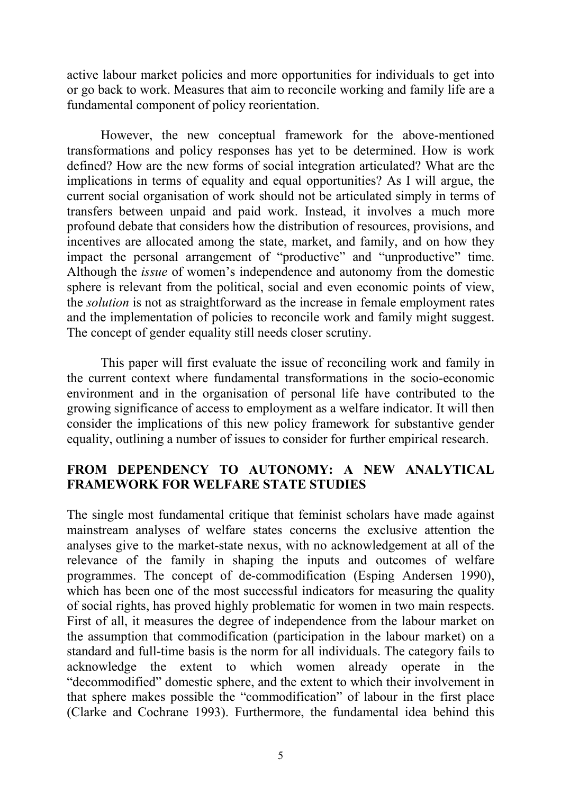active labour market policies and more opportunities for individuals to get into or go back to work. Measures that aim to reconcile working and family life are a fundamental component of policy reorientation.

However, the new conceptual framework for the above-mentioned transformations and policy responses has yet to be determined. How is work defined? How are the new forms of social integration articulated? What are the implications in terms of equality and equal opportunities? As I will argue, the current social organisation of work should not be articulated simply in terms of transfers between unpaid and paid work. Instead, it involves a much more profound debate that considers how the distribution of resources, provisions, and incentives are allocated among the state, market, and family, and on how they impact the personal arrangement of "productive" and "unproductive" time. Although the *issue* of women's independence and autonomy from the domestic sphere is relevant from the political, social and even economic points of view, the *solution* is not as straightforward as the increase in female employment rates and the implementation of policies to reconcile work and family might suggest. The concept of gender equality still needs closer scrutiny.

This paper will first evaluate the issue of reconciling work and family in the current context where fundamental transformations in the socio-economic environment and in the organisation of personal life have contributed to the growing significance of access to employment as a welfare indicator. It will then consider the implications of this new policy framework for substantive gender equality, outlining a number of issues to consider for further empirical research.

## **FROM DEPENDENCY TO AUTONOMY: A NEW ANALYTICAL FRAMEWORK FOR WELFARE STATE STUDIES**

The single most fundamental critique that feminist scholars have made against mainstream analyses of welfare states concerns the exclusive attention the analyses give to the market-state nexus, with no acknowledgement at all of the relevance of the family in shaping the inputs and outcomes of welfare programmes. The concept of de-commodification (Esping Andersen 1990), which has been one of the most successful indicators for measuring the quality of social rights, has proved highly problematic for women in two main respects. First of all, it measures the degree of independence from the labour market on the assumption that commodification (participation in the labour market) on a standard and full-time basis is the norm for all individuals. The category fails to acknowledge the extent to which women already operate in the "decommodified" domestic sphere, and the extent to which their involvement in that sphere makes possible the "commodification" of labour in the first place (Clarke and Cochrane 1993). Furthermore, the fundamental idea behind this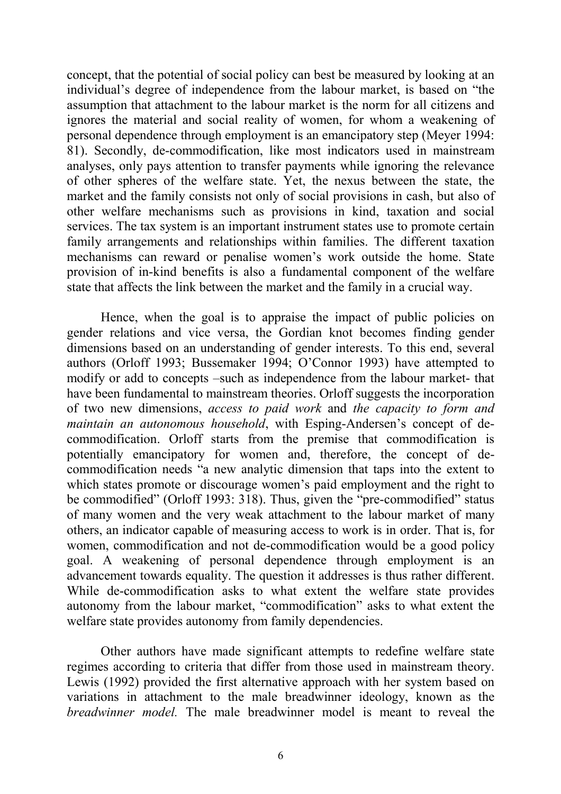concept, that the potential of social policy can best be measured by looking at an individual's degree of independence from the labour market, is based on "the assumption that attachment to the labour market is the norm for all citizens and ignores the material and social reality of women, for whom a weakening of personal dependence through employment is an emancipatory step (Meyer 1994: 81). Secondly, de-commodification, like most indicators used in mainstream analyses, only pays attention to transfer payments while ignoring the relevance of other spheres of the welfare state. Yet, the nexus between the state, the market and the family consists not only of social provisions in cash, but also of other welfare mechanisms such as provisions in kind, taxation and social services. The tax system is an important instrument states use to promote certain family arrangements and relationships within families. The different taxation mechanisms can reward or penalise women's work outside the home. State provision of in-kind benefits is also a fundamental component of the welfare state that affects the link between the market and the family in a crucial way.

Hence, when the goal is to appraise the impact of public policies on gender relations and vice versa, the Gordian knot becomes finding gender dimensions based on an understanding of gender interests. To this end, several authors (Orloff 1993; Bussemaker 1994; O'Connor 1993) have attempted to modify or add to concepts –such as independence from the labour market- that have been fundamental to mainstream theories. Orloff suggests the incorporation of two new dimensions, *access to paid work* and *the capacity to form and maintain an autonomous household*, with Esping-Andersen's concept of decommodification. Orloff starts from the premise that commodification is potentially emancipatory for women and, therefore, the concept of decommodification needs "a new analytic dimension that taps into the extent to which states promote or discourage women's paid employment and the right to be commodified" (Orloff 1993: 318). Thus, given the "pre-commodified" status of many women and the very weak attachment to the labour market of many others, an indicator capable of measuring access to work is in order. That is, for women, commodification and not de-commodification would be a good policy goal. A weakening of personal dependence through employment is an advancement towards equality. The question it addresses is thus rather different. While de-commodification asks to what extent the welfare state provides autonomy from the labour market, "commodification" asks to what extent the welfare state provides autonomy from family dependencies.

Other authors have made significant attempts to redefine welfare state regimes according to criteria that differ from those used in mainstream theory. Lewis (1992) provided the first alternative approach with her system based on variations in attachment to the male breadwinner ideology, known as the *breadwinner model.* The male breadwinner model is meant to reveal the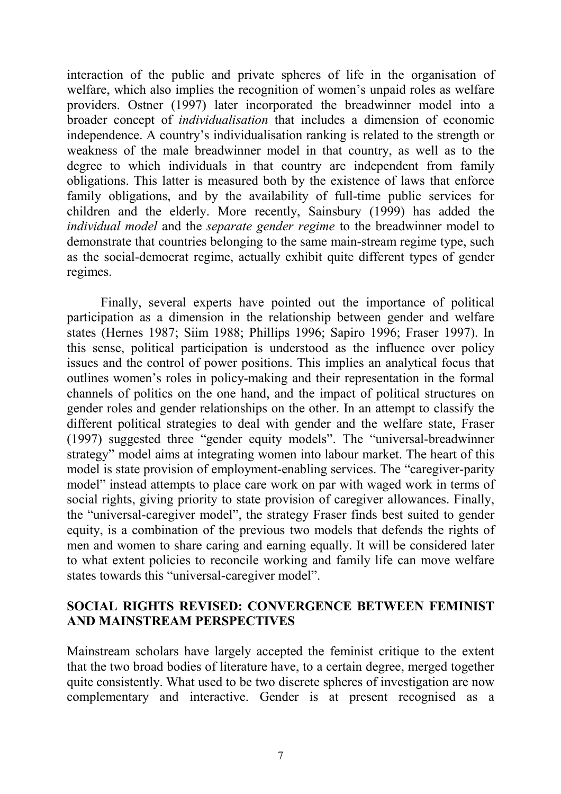interaction of the public and private spheres of life in the organisation of welfare, which also implies the recognition of women's unpaid roles as welfare providers. Ostner (1997) later incorporated the breadwinner model into a broader concept of *individualisation* that includes a dimension of economic independence. A country's individualisation ranking is related to the strength or weakness of the male breadwinner model in that country, as well as to the degree to which individuals in that country are independent from family obligations. This latter is measured both by the existence of laws that enforce family obligations, and by the availability of full-time public services for children and the elderly. More recently, Sainsbury (1999) has added the *individual model* and the *separate gender regime* to the breadwinner model to demonstrate that countries belonging to the same main-stream regime type, such as the social-democrat regime, actually exhibit quite different types of gender regimes.

Finally, several experts have pointed out the importance of political participation as a dimension in the relationship between gender and welfare states (Hernes 1987; Siim 1988; Phillips 1996; Sapiro 1996; Fraser 1997). In this sense, political participation is understood as the influence over policy issues and the control of power positions. This implies an analytical focus that outlines women's roles in policy-making and their representation in the formal channels of politics on the one hand, and the impact of political structures on gender roles and gender relationships on the other. In an attempt to classify the different political strategies to deal with gender and the welfare state, Fraser (1997) suggested three "gender equity models". The "universal-breadwinner strategy" model aims at integrating women into labour market. The heart of this model is state provision of employment-enabling services. The "caregiver-parity model" instead attempts to place care work on par with waged work in terms of social rights, giving priority to state provision of caregiver allowances. Finally, the "universal-caregiver model", the strategy Fraser finds best suited to gender equity, is a combination of the previous two models that defends the rights of men and women to share caring and earning equally. It will be considered later to what extent policies to reconcile working and family life can move welfare states towards this "universal-caregiver model".

### **SOCIAL RIGHTS REVISED: CONVERGENCE BETWEEN FEMINIST AND MAINSTREAM PERSPECTIVES**

Mainstream scholars have largely accepted the feminist critique to the extent that the two broad bodies of literature have, to a certain degree, merged together quite consistently. What used to be two discrete spheres of investigation are now complementary and interactive. Gender is at present recognised as a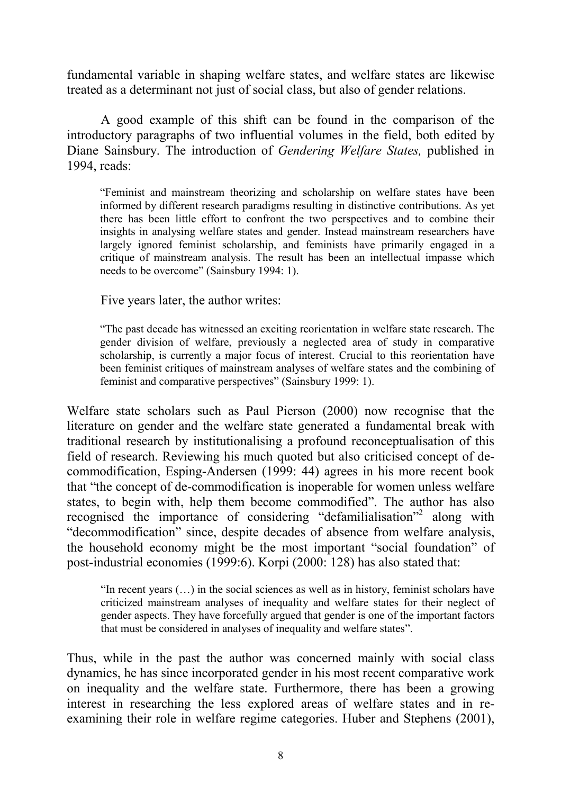fundamental variable in shaping welfare states, and welfare states are likewise treated as a determinant not just of social class, but also of gender relations.

A good example of this shift can be found in the comparison of the introductory paragraphs of two influential volumes in the field, both edited by Diane Sainsbury. The introduction of *Gendering Welfare States,* published in 1994, reads:

"Feminist and mainstream theorizing and scholarship on welfare states have been informed by different research paradigms resulting in distinctive contributions. As yet there has been little effort to confront the two perspectives and to combine their insights in analysing welfare states and gender. Instead mainstream researchers have largely ignored feminist scholarship, and feminists have primarily engaged in a critique of mainstream analysis. The result has been an intellectual impasse which needs to be overcome" (Sainsbury 1994: 1).

Five years later, the author writes:

"The past decade has witnessed an exciting reorientation in welfare state research. The gender division of welfare, previously a neglected area of study in comparative scholarship, is currently a major focus of interest. Crucial to this reorientation have been feminist critiques of mainstream analyses of welfare states and the combining of feminist and comparative perspectives" (Sainsbury 1999: 1).

Welfare state scholars such as Paul Pierson (2000) now recognise that the literature on gender and the welfare state generated a fundamental break with traditional research by institutionalising a profound reconceptualisation of this field of research. Reviewing his much quoted but also criticised concept of decommodification, Esping-Andersen (1999: 44) agrees in his more recent book that "the concept of de-commodification is inoperable for women unless welfare states, to begin with, help them become commodified". The author has also recognised the importance of considering "defamilialisation"<sup>2</sup> along with "decommodification" since, despite decades of absence from welfare analysis, the household economy might be the most important "social foundation" of post-industrial economies (1999:6). Korpi (2000: 128) has also stated that:

"In recent years (…) in the social sciences as well as in history, feminist scholars have criticized mainstream analyses of inequality and welfare states for their neglect of gender aspects. They have forcefully argued that gender is one of the important factors that must be considered in analyses of inequality and welfare states".

Thus, while in the past the author was concerned mainly with social class dynamics, he has since incorporated gender in his most recent comparative work on inequality and the welfare state. Furthermore, there has been a growing interest in researching the less explored areas of welfare states and in reexamining their role in welfare regime categories. Huber and Stephens (2001),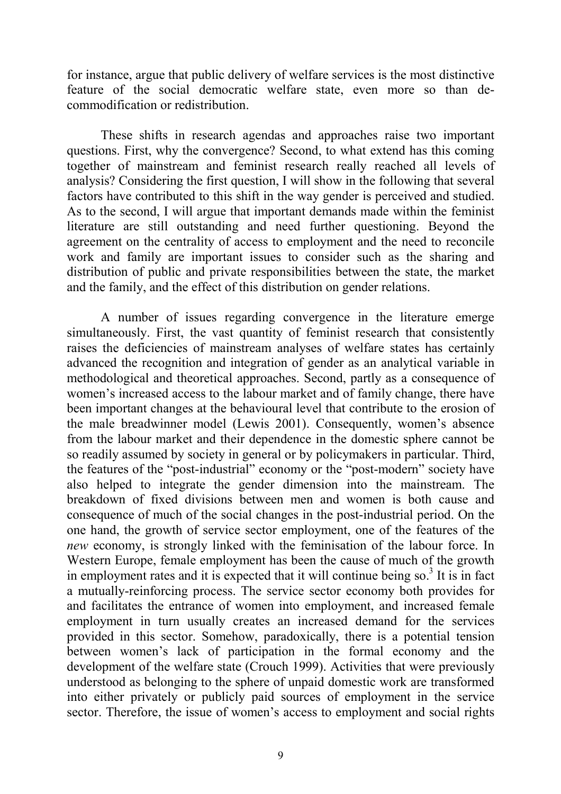for instance, argue that public delivery of welfare services is the most distinctive feature of the social democratic welfare state, even more so than decommodification or redistribution.

These shifts in research agendas and approaches raise two important questions. First, why the convergence? Second, to what extend has this coming together of mainstream and feminist research really reached all levels of analysis? Considering the first question, I will show in the following that several factors have contributed to this shift in the way gender is perceived and studied. As to the second, I will argue that important demands made within the feminist literature are still outstanding and need further questioning. Beyond the agreement on the centrality of access to employment and the need to reconcile work and family are important issues to consider such as the sharing and distribution of public and private responsibilities between the state, the market and the family, and the effect of this distribution on gender relations.

A number of issues regarding convergence in the literature emerge simultaneously. First, the vast quantity of feminist research that consistently raises the deficiencies of mainstream analyses of welfare states has certainly advanced the recognition and integration of gender as an analytical variable in methodological and theoretical approaches. Second, partly as a consequence of women's increased access to the labour market and of family change, there have been important changes at the behavioural level that contribute to the erosion of the male breadwinner model (Lewis 2001). Consequently, women's absence from the labour market and their dependence in the domestic sphere cannot be so readily assumed by society in general or by policymakers in particular. Third, the features of the "post-industrial" economy or the "post-modern" society have also helped to integrate the gender dimension into the mainstream. The breakdown of fixed divisions between men and women is both cause and consequence of much of the social changes in the post-industrial period. On the one hand, the growth of service sector employment, one of the features of the *new* economy, is strongly linked with the feminisation of the labour force. In Western Europe, female employment has been the cause of much of the growth in employment rates and it is expected that it will continue being so.<sup>3</sup> It is in fact a mutually-reinforcing process. The service sector economy both provides for and facilitates the entrance of women into employment, and increased female employment in turn usually creates an increased demand for the services provided in this sector. Somehow, paradoxically, there is a potential tension between women's lack of participation in the formal economy and the development of the welfare state (Crouch 1999). Activities that were previously understood as belonging to the sphere of unpaid domestic work are transformed into either privately or publicly paid sources of employment in the service sector. Therefore, the issue of women's access to employment and social rights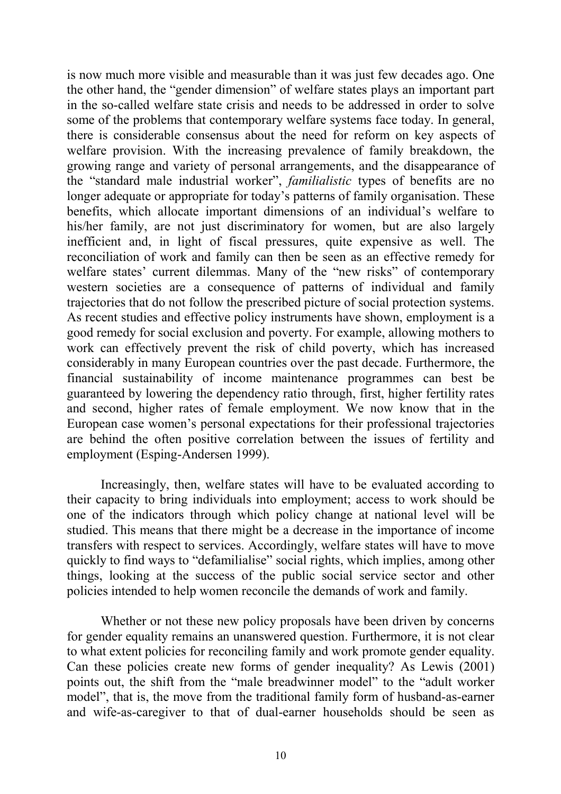is now much more visible and measurable than it was just few decades ago. One the other hand, the "gender dimension" of welfare states plays an important part in the so-called welfare state crisis and needs to be addressed in order to solve some of the problems that contemporary welfare systems face today. In general, there is considerable consensus about the need for reform on key aspects of welfare provision. With the increasing prevalence of family breakdown, the growing range and variety of personal arrangements, and the disappearance of the "standard male industrial worker", *familialistic* types of benefits are no longer adequate or appropriate for today's patterns of family organisation. These benefits, which allocate important dimensions of an individual's welfare to his/her family, are not just discriminatory for women, but are also largely inefficient and, in light of fiscal pressures, quite expensive as well. The reconciliation of work and family can then be seen as an effective remedy for welfare states' current dilemmas. Many of the "new risks" of contemporary western societies are a consequence of patterns of individual and family trajectories that do not follow the prescribed picture of social protection systems. As recent studies and effective policy instruments have shown, employment is a good remedy for social exclusion and poverty. For example, allowing mothers to work can effectively prevent the risk of child poverty, which has increased considerably in many European countries over the past decade. Furthermore, the financial sustainability of income maintenance programmes can best be guaranteed by lowering the dependency ratio through, first, higher fertility rates and second, higher rates of female employment. We now know that in the European case women's personal expectations for their professional trajectories are behind the often positive correlation between the issues of fertility and employment (Esping-Andersen 1999).

Increasingly, then, welfare states will have to be evaluated according to their capacity to bring individuals into employment; access to work should be one of the indicators through which policy change at national level will be studied. This means that there might be a decrease in the importance of income transfers with respect to services. Accordingly, welfare states will have to move quickly to find ways to "defamilialise" social rights, which implies, among other things, looking at the success of the public social service sector and other policies intended to help women reconcile the demands of work and family.

Whether or not these new policy proposals have been driven by concerns for gender equality remains an unanswered question. Furthermore, it is not clear to what extent policies for reconciling family and work promote gender equality. Can these policies create new forms of gender inequality? As Lewis (2001) points out, the shift from the "male breadwinner model" to the "adult worker model", that is, the move from the traditional family form of husband-as-earner and wife-as-caregiver to that of dual-earner households should be seen as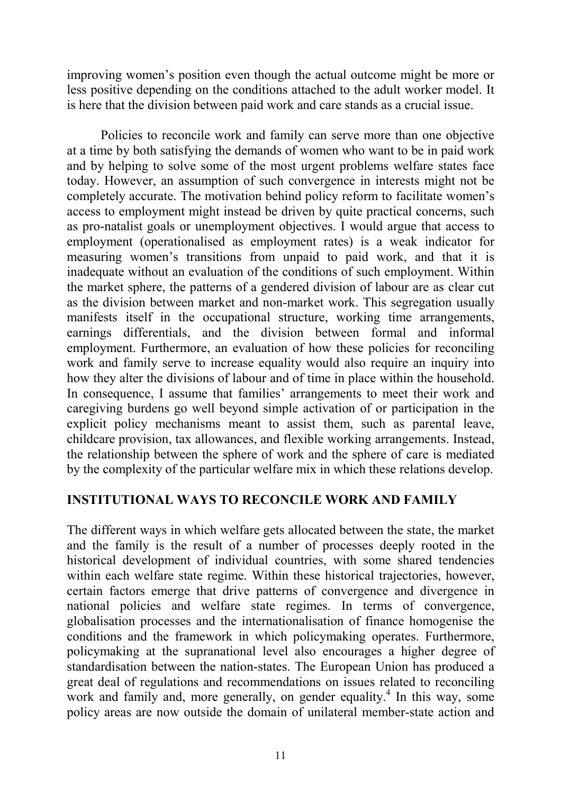improving women's position even though the actual outcome might be more or less positive depending on the conditions attached to the adult worker model. It is here that the division between paid work and care stands as a crucial issue.

Policies to reconcile work and family can serve more than one objective at a time by both satisfying the demands of women who want to be in paid work and by helping to solve some of the most urgent problems welfare states face today. However, an assumption of such convergence in interests might not be completely accurate. The motivation behind policy reform to facilitate women's access to employment might instead be driven by quite practical concerns, such as pro-natalist goals or unemployment objectives. I would argue that access to employment (operationalised as employment rates) is a weak indicator for measuring women's transitions from unpaid to paid work, and that it is inadequate without an evaluation of the conditions of such employment. Within the market sphere, the patterns of a gendered division of labour are as clear cut as the division between market and non-market work. This segregation usually manifests itself in the occupational structure, working time arrangements, earnings differentials, and the division between formal and informal employment. Furthermore, an evaluation of how these policies for reconciling work and family serve to increase equality would also require an inquiry into how they alter the divisions of labour and of time in place within the household. In consequence, I assume that families' arrangements to meet their work and caregiving burdens go well beyond simple activation of or participation in the explicit policy mechanisms meant to assist them, such as parental leave, childcare provision, tax allowances, and flexible working arrangements. Instead, the relationship between the sphere of work and the sphere of care is mediated by the complexity of the particular welfare mix in which these relations develop.

#### **INSTITUTIONAL WAYS TO RECONCILE WORK AND FAMILY**

The different ways in which welfare gets allocated between the state, the market and the family is the result of a number of processes deeply rooted in the historical development of individual countries, with some shared tendencies within each welfare state regime. Within these historical trajectories, however, certain factors emerge that drive patterns of convergence and divergence in national policies and welfare state regimes. In terms of convergence, globalisation processes and the internationalisation of finance homogenise the conditions and the framework in which policymaking operates. Furthermore, policymaking at the supranational level also encourages a higher degree of standardisation between the nation-states. The European Union has produced a great deal of regulations and recommendations on issues related to reconciling work and family and, more generally, on gender equality.<sup>4</sup> In this way, some policy areas are now outside the domain of unilateral member-state action and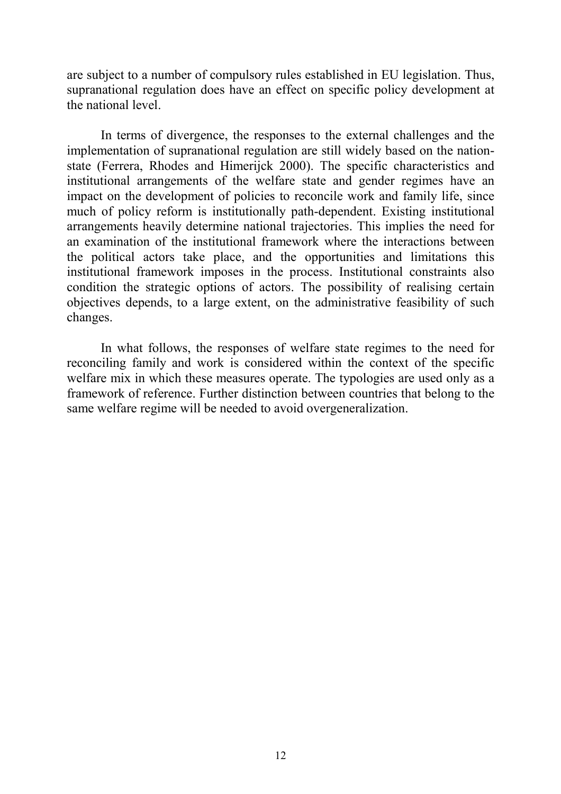are subject to a number of compulsory rules established in EU legislation. Thus, supranational regulation does have an effect on specific policy development at the national level.

In terms of divergence, the responses to the external challenges and the implementation of supranational regulation are still widely based on the nationstate (Ferrera, Rhodes and Himerijck 2000). The specific characteristics and institutional arrangements of the welfare state and gender regimes have an impact on the development of policies to reconcile work and family life, since much of policy reform is institutionally path-dependent. Existing institutional arrangements heavily determine national trajectories. This implies the need for an examination of the institutional framework where the interactions between the political actors take place, and the opportunities and limitations this institutional framework imposes in the process. Institutional constraints also condition the strategic options of actors. The possibility of realising certain objectives depends, to a large extent, on the administrative feasibility of such changes.

In what follows, the responses of welfare state regimes to the need for reconciling family and work is considered within the context of the specific welfare mix in which these measures operate. The typologies are used only as a framework of reference. Further distinction between countries that belong to the same welfare regime will be needed to avoid overgeneralization.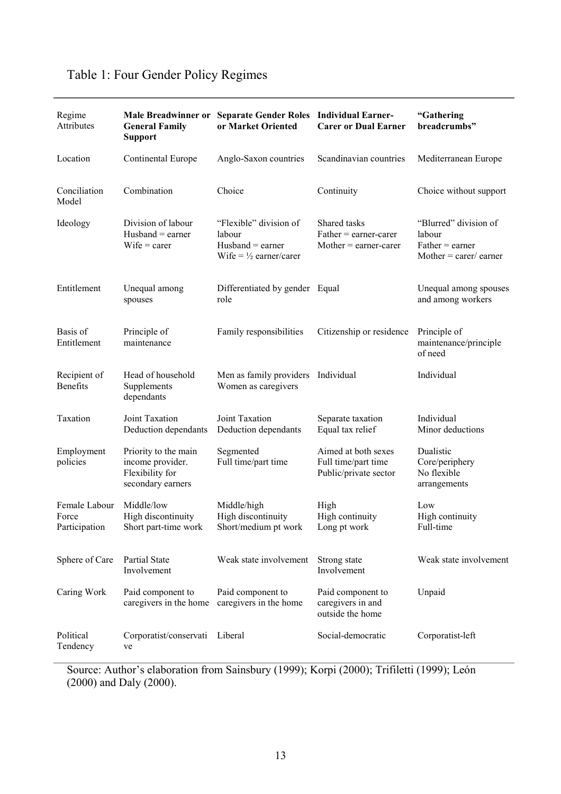| Regime<br>Attributes                    | <b>General Family</b><br><b>Support</b>                                          | Male Breadwinner or Separate Gender Roles Individual Earner-<br>or Market Oriented           | <b>Carer or Dual Earner</b>                                         | "Gathering<br>breadcrumbs"                                                      |
|-----------------------------------------|----------------------------------------------------------------------------------|----------------------------------------------------------------------------------------------|---------------------------------------------------------------------|---------------------------------------------------------------------------------|
| Location                                | Continental Europe                                                               | Anglo-Saxon countries                                                                        | Scandinavian countries                                              | Mediterranean Europe                                                            |
| Conciliation<br>Model                   | Combination                                                                      | Choice                                                                                       | Continuity                                                          | Choice without support                                                          |
| Ideology                                | Division of labour<br>$H$ usband = earner<br>$Wife = career$                     | "Flexible" division of<br>labour<br>$H$ usband = earner<br>Wife = $\frac{1}{2}$ earner/carer | Shared tasks<br>$Father = earner-carer$<br>$Mother = earner-carer$  | "Blurred" division of<br>labour<br>$Father = earner$<br>Mother $=$ carer/earner |
| Entitlement                             | Unequal among<br>spouses                                                         | Differentiated by gender Equal<br>role                                                       |                                                                     | Unequal among spouses<br>and among workers                                      |
| Basis of<br>Entitlement                 | Principle of<br>maintenance                                                      | Family responsibilities                                                                      | Citizenship or residence                                            | Principle of<br>maintenance/principle<br>of need                                |
| Recipient of<br>Benefits                | Head of household<br>Supplements<br>dependants                                   | Men as family providers Individual<br>Women as caregivers                                    |                                                                     | Individual                                                                      |
| Taxation                                | Joint Taxation<br>Deduction dependants                                           | Joint Taxation<br>Deduction dependants                                                       | Separate taxation<br>Equal tax relief                               | Individual<br>Minor deductions                                                  |
| Employment<br>policies                  | Priority to the main<br>income provider.<br>Flexibility for<br>secondary earners | Segmented<br>Full time/part time                                                             | Aimed at both sexes<br>Full time/part time<br>Public/private sector | Dualistic<br>Core/periphery<br>No flexible<br>arrangements                      |
| Female Labour<br>Force<br>Participation | Middle/low<br>High discontinuity<br>Short part-time work                         | Middle/high<br>High discontinuity<br>Short/medium pt work                                    | High<br>High continuity<br>Long pt work                             | Low<br>High continuity<br>Full-time                                             |
| Sphere of Care                          | Partial State<br>Involvement                                                     | Weak state involvement                                                                       | Strong state<br>Involvement                                         | Weak state involvement                                                          |
| Caring Work                             | Paid component to<br>caregivers in the home                                      | Paid component to<br>caregivers in the home                                                  | Paid component to<br>caregivers in and<br>outside the home          | Unpaid                                                                          |
| Political<br>Tendency                   | Corporatist/conservati<br>ve                                                     | Liberal                                                                                      | Social-democratic                                                   | Corporatist-left                                                                |

# Table 1: Four Gender Policy Regimes

Source: Author's elaboration from Sainsbury (1999); Korpi (2000); Trifiletti (1999); León (2000) and Daly (2000).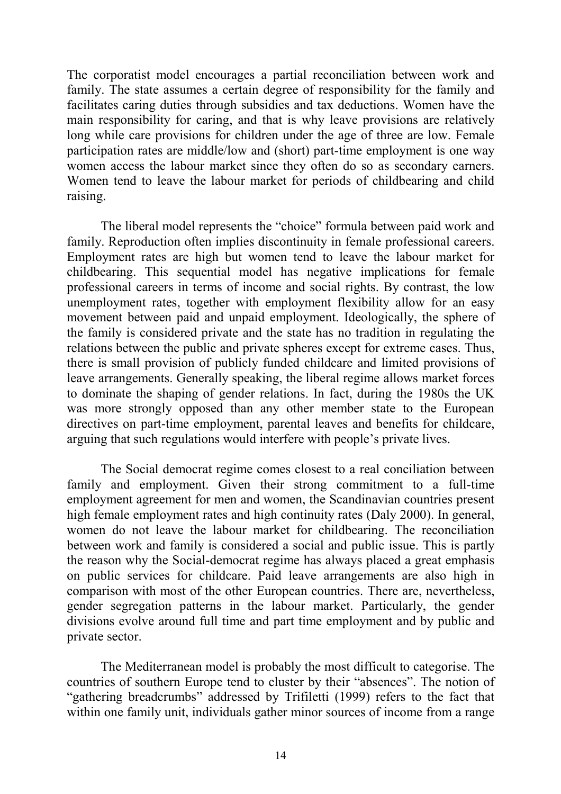The corporatist model encourages a partial reconciliation between work and family. The state assumes a certain degree of responsibility for the family and facilitates caring duties through subsidies and tax deductions. Women have the main responsibility for caring, and that is why leave provisions are relatively long while care provisions for children under the age of three are low. Female participation rates are middle/low and (short) part-time employment is one way women access the labour market since they often do so as secondary earners. Women tend to leave the labour market for periods of childbearing and child raising.

The liberal model represents the "choice" formula between paid work and family. Reproduction often implies discontinuity in female professional careers. Employment rates are high but women tend to leave the labour market for childbearing. This sequential model has negative implications for female professional careers in terms of income and social rights. By contrast, the low unemployment rates, together with employment flexibility allow for an easy movement between paid and unpaid employment. Ideologically, the sphere of the family is considered private and the state has no tradition in regulating the relations between the public and private spheres except for extreme cases. Thus, there is small provision of publicly funded childcare and limited provisions of leave arrangements. Generally speaking, the liberal regime allows market forces to dominate the shaping of gender relations. In fact, during the 1980s the UK was more strongly opposed than any other member state to the European directives on part-time employment, parental leaves and benefits for childcare, arguing that such regulations would interfere with people's private lives.

The Social democrat regime comes closest to a real conciliation between family and employment. Given their strong commitment to a full-time employment agreement for men and women, the Scandinavian countries present high female employment rates and high continuity rates (Daly 2000). In general, women do not leave the labour market for childbearing. The reconciliation between work and family is considered a social and public issue. This is partly the reason why the Social-democrat regime has always placed a great emphasis on public services for childcare. Paid leave arrangements are also high in comparison with most of the other European countries. There are, nevertheless, gender segregation patterns in the labour market. Particularly, the gender divisions evolve around full time and part time employment and by public and private sector.

The Mediterranean model is probably the most difficult to categorise. The countries of southern Europe tend to cluster by their "absences". The notion of "gathering breadcrumbs" addressed by Trifiletti (1999) refers to the fact that within one family unit, individuals gather minor sources of income from a range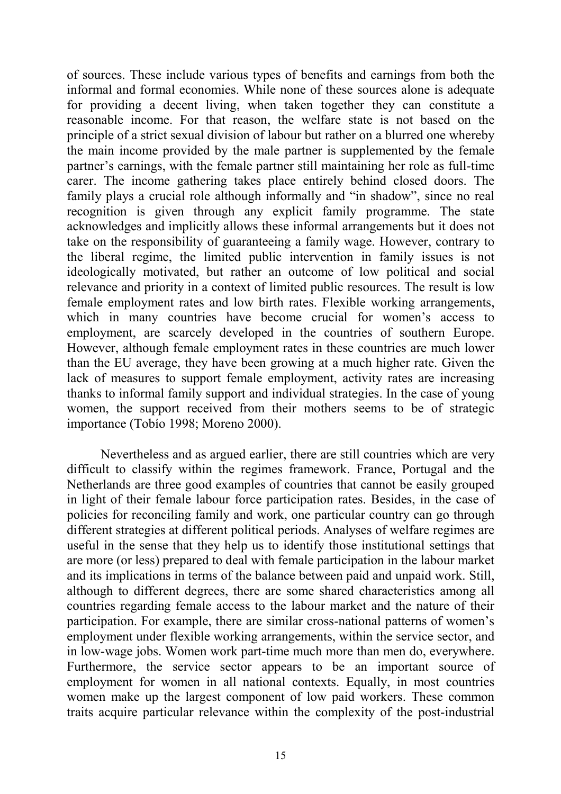of sources. These include various types of benefits and earnings from both the informal and formal economies. While none of these sources alone is adequate for providing a decent living, when taken together they can constitute a reasonable income. For that reason, the welfare state is not based on the principle of a strict sexual division of labour but rather on a blurred one whereby the main income provided by the male partner is supplemented by the female partner's earnings, with the female partner still maintaining her role as full-time carer. The income gathering takes place entirely behind closed doors. The family plays a crucial role although informally and "in shadow", since no real recognition is given through any explicit family programme. The state acknowledges and implicitly allows these informal arrangements but it does not take on the responsibility of guaranteeing a family wage. However, contrary to the liberal regime, the limited public intervention in family issues is not ideologically motivated, but rather an outcome of low political and social relevance and priority in a context of limited public resources. The result is low female employment rates and low birth rates. Flexible working arrangements, which in many countries have become crucial for women's access to employment, are scarcely developed in the countries of southern Europe. However, although female employment rates in these countries are much lower than the EU average, they have been growing at a much higher rate. Given the lack of measures to support female employment, activity rates are increasing thanks to informal family support and individual strategies. In the case of young women, the support received from their mothers seems to be of strategic importance (Tobío 1998; Moreno 2000).

Nevertheless and as argued earlier, there are still countries which are very difficult to classify within the regimes framework. France, Portugal and the Netherlands are three good examples of countries that cannot be easily grouped in light of their female labour force participation rates. Besides, in the case of policies for reconciling family and work, one particular country can go through different strategies at different political periods. Analyses of welfare regimes are useful in the sense that they help us to identify those institutional settings that are more (or less) prepared to deal with female participation in the labour market and its implications in terms of the balance between paid and unpaid work. Still, although to different degrees, there are some shared characteristics among all countries regarding female access to the labour market and the nature of their participation. For example, there are similar cross-national patterns of women's employment under flexible working arrangements, within the service sector, and in low-wage jobs. Women work part-time much more than men do, everywhere. Furthermore, the service sector appears to be an important source of employment for women in all national contexts. Equally, in most countries women make up the largest component of low paid workers. These common traits acquire particular relevance within the complexity of the post-industrial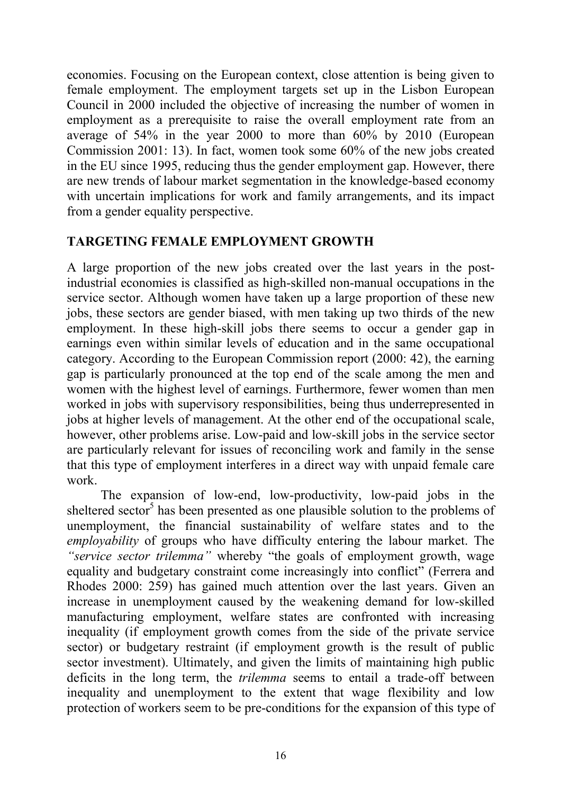economies. Focusing on the European context, close attention is being given to female employment. The employment targets set up in the Lisbon European Council in 2000 included the objective of increasing the number of women in employment as a prerequisite to raise the overall employment rate from an average of 54% in the year 2000 to more than 60% by 2010 (European Commission 2001: 13). In fact, women took some 60% of the new jobs created in the EU since 1995, reducing thus the gender employment gap. However, there are new trends of labour market segmentation in the knowledge-based economy with uncertain implications for work and family arrangements, and its impact from a gender equality perspective.

### **TARGETING FEMALE EMPLOYMENT GROWTH**

A large proportion of the new jobs created over the last years in the postindustrial economies is classified as high-skilled non-manual occupations in the service sector. Although women have taken up a large proportion of these new jobs, these sectors are gender biased, with men taking up two thirds of the new employment. In these high-skill jobs there seems to occur a gender gap in earnings even within similar levels of education and in the same occupational category. According to the European Commission report (2000: 42), the earning gap is particularly pronounced at the top end of the scale among the men and women with the highest level of earnings. Furthermore, fewer women than men worked in jobs with supervisory responsibilities, being thus underrepresented in jobs at higher levels of management. At the other end of the occupational scale, however, other problems arise. Low-paid and low-skill jobs in the service sector are particularly relevant for issues of reconciling work and family in the sense that this type of employment interferes in a direct way with unpaid female care work.

The expansion of low-end, low-productivity, low-paid jobs in the sheltered sector<sup>5</sup> has been presented as one plausible solution to the problems of unemployment, the financial sustainability of welfare states and to the *employability* of groups who have difficulty entering the labour market. The *"service sector trilemma"* whereby "the goals of employment growth, wage equality and budgetary constraint come increasingly into conflict" (Ferrera and Rhodes 2000: 259) has gained much attention over the last years. Given an increase in unemployment caused by the weakening demand for low-skilled manufacturing employment, welfare states are confronted with increasing inequality (if employment growth comes from the side of the private service sector) or budgetary restraint (if employment growth is the result of public sector investment). Ultimately, and given the limits of maintaining high public deficits in the long term, the *trilemma* seems to entail a trade-off between inequality and unemployment to the extent that wage flexibility and low protection of workers seem to be pre-conditions for the expansion of this type of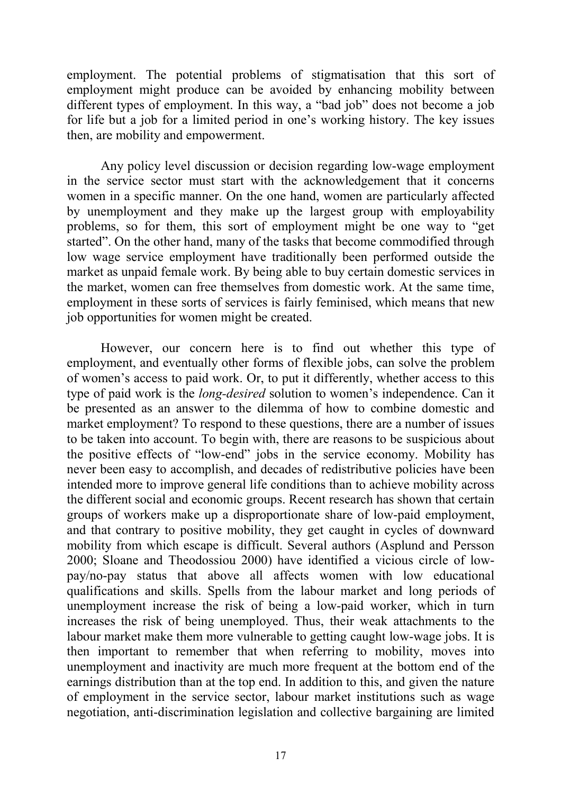employment. The potential problems of stigmatisation that this sort of employment might produce can be avoided by enhancing mobility between different types of employment. In this way, a "bad job" does not become a job for life but a job for a limited period in one's working history. The key issues then, are mobility and empowerment.

Any policy level discussion or decision regarding low-wage employment in the service sector must start with the acknowledgement that it concerns women in a specific manner. On the one hand, women are particularly affected by unemployment and they make up the largest group with employability problems, so for them, this sort of employment might be one way to "get started". On the other hand, many of the tasks that become commodified through low wage service employment have traditionally been performed outside the market as unpaid female work. By being able to buy certain domestic services in the market, women can free themselves from domestic work. At the same time, employment in these sorts of services is fairly feminised, which means that new job opportunities for women might be created.

However, our concern here is to find out whether this type of employment, and eventually other forms of flexible jobs, can solve the problem of women's access to paid work. Or, to put it differently, whether access to this type of paid work is the *long-desired* solution to women's independence. Can it be presented as an answer to the dilemma of how to combine domestic and market employment? To respond to these questions, there are a number of issues to be taken into account. To begin with, there are reasons to be suspicious about the positive effects of "low-end" jobs in the service economy. Mobility has never been easy to accomplish, and decades of redistributive policies have been intended more to improve general life conditions than to achieve mobility across the different social and economic groups. Recent research has shown that certain groups of workers make up a disproportionate share of low-paid employment, and that contrary to positive mobility, they get caught in cycles of downward mobility from which escape is difficult. Several authors (Asplund and Persson 2000; Sloane and Theodossiou 2000) have identified a vicious circle of lowpay/no-pay status that above all affects women with low educational qualifications and skills. Spells from the labour market and long periods of unemployment increase the risk of being a low-paid worker, which in turn increases the risk of being unemployed. Thus, their weak attachments to the labour market make them more vulnerable to getting caught low-wage jobs. It is then important to remember that when referring to mobility, moves into unemployment and inactivity are much more frequent at the bottom end of the earnings distribution than at the top end. In addition to this, and given the nature of employment in the service sector, labour market institutions such as wage negotiation, anti-discrimination legislation and collective bargaining are limited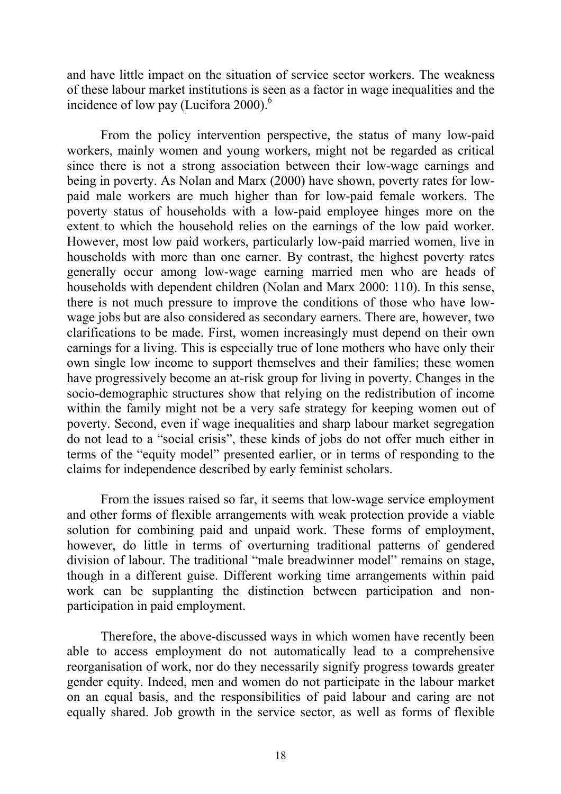and have little impact on the situation of service sector workers. The weakness of these labour market institutions is seen as a factor in wage inequalities and the incidence of low pay (Lucifora 2000). $<sup>6</sup>$ </sup>

From the policy intervention perspective, the status of many low-paid workers, mainly women and young workers, might not be regarded as critical since there is not a strong association between their low-wage earnings and being in poverty. As Nolan and Marx (2000) have shown, poverty rates for lowpaid male workers are much higher than for low-paid female workers. The poverty status of households with a low-paid employee hinges more on the extent to which the household relies on the earnings of the low paid worker. However, most low paid workers, particularly low-paid married women, live in households with more than one earner. By contrast, the highest poverty rates generally occur among low-wage earning married men who are heads of households with dependent children (Nolan and Marx 2000: 110). In this sense, there is not much pressure to improve the conditions of those who have lowwage jobs but are also considered as secondary earners. There are, however, two clarifications to be made. First, women increasingly must depend on their own earnings for a living. This is especially true of lone mothers who have only their own single low income to support themselves and their families; these women have progressively become an at-risk group for living in poverty. Changes in the socio-demographic structures show that relying on the redistribution of income within the family might not be a very safe strategy for keeping women out of poverty. Second, even if wage inequalities and sharp labour market segregation do not lead to a "social crisis", these kinds of jobs do not offer much either in terms of the "equity model" presented earlier, or in terms of responding to the claims for independence described by early feminist scholars.

From the issues raised so far, it seems that low-wage service employment and other forms of flexible arrangements with weak protection provide a viable solution for combining paid and unpaid work. These forms of employment, however, do little in terms of overturning traditional patterns of gendered division of labour. The traditional "male breadwinner model" remains on stage, though in a different guise. Different working time arrangements within paid work can be supplanting the distinction between participation and nonparticipation in paid employment.

Therefore, the above-discussed ways in which women have recently been able to access employment do not automatically lead to a comprehensive reorganisation of work, nor do they necessarily signify progress towards greater gender equity. Indeed, men and women do not participate in the labour market on an equal basis, and the responsibilities of paid labour and caring are not equally shared. Job growth in the service sector, as well as forms of flexible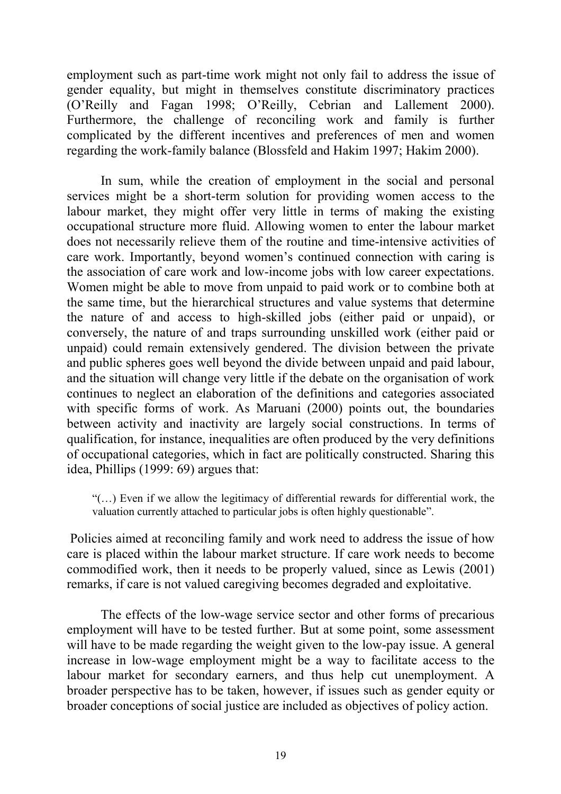employment such as part-time work might not only fail to address the issue of gender equality, but might in themselves constitute discriminatory practices (O'Reilly and Fagan 1998; O'Reilly, Cebrian and Lallement 2000). Furthermore, the challenge of reconciling work and family is further complicated by the different incentives and preferences of men and women regarding the work-family balance (Blossfeld and Hakim 1997; Hakim 2000).

In sum, while the creation of employment in the social and personal services might be a short-term solution for providing women access to the labour market, they might offer very little in terms of making the existing occupational structure more fluid. Allowing women to enter the labour market does not necessarily relieve them of the routine and time-intensive activities of care work. Importantly, beyond women's continued connection with caring is the association of care work and low-income jobs with low career expectations. Women might be able to move from unpaid to paid work or to combine both at the same time, but the hierarchical structures and value systems that determine the nature of and access to high-skilled jobs (either paid or unpaid), or conversely, the nature of and traps surrounding unskilled work (either paid or unpaid) could remain extensively gendered. The division between the private and public spheres goes well beyond the divide between unpaid and paid labour, and the situation will change very little if the debate on the organisation of work continues to neglect an elaboration of the definitions and categories associated with specific forms of work. As Maruani (2000) points out, the boundaries between activity and inactivity are largely social constructions. In terms of qualification, for instance, inequalities are often produced by the very definitions of occupational categories, which in fact are politically constructed. Sharing this idea, Phillips (1999: 69) argues that:

"(…) Even if we allow the legitimacy of differential rewards for differential work, the valuation currently attached to particular jobs is often highly questionable".

 Policies aimed at reconciling family and work need to address the issue of how care is placed within the labour market structure. If care work needs to become commodified work, then it needs to be properly valued, since as Lewis (2001) remarks, if care is not valued caregiving becomes degraded and exploitative.

The effects of the low-wage service sector and other forms of precarious employment will have to be tested further. But at some point, some assessment will have to be made regarding the weight given to the low-pay issue. A general increase in low-wage employment might be a way to facilitate access to the labour market for secondary earners, and thus help cut unemployment. A broader perspective has to be taken, however, if issues such as gender equity or broader conceptions of social justice are included as objectives of policy action.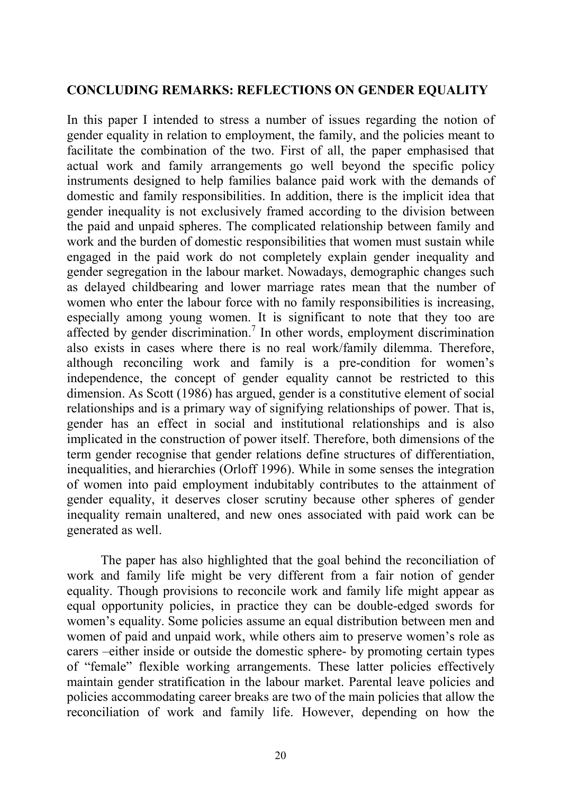#### **CONCLUDING REMARKS: REFLECTIONS ON GENDER EQUALITY**

In this paper I intended to stress a number of issues regarding the notion of gender equality in relation to employment, the family, and the policies meant to facilitate the combination of the two. First of all, the paper emphasised that actual work and family arrangements go well beyond the specific policy instruments designed to help families balance paid work with the demands of domestic and family responsibilities. In addition, there is the implicit idea that gender inequality is not exclusively framed according to the division between the paid and unpaid spheres. The complicated relationship between family and work and the burden of domestic responsibilities that women must sustain while engaged in the paid work do not completely explain gender inequality and gender segregation in the labour market. Nowadays, demographic changes such as delayed childbearing and lower marriage rates mean that the number of women who enter the labour force with no family responsibilities is increasing, especially among young women. It is significant to note that they too are affected by gender discrimination.<sup>7</sup> In other words, employment discrimination also exists in cases where there is no real work/family dilemma. Therefore, although reconciling work and family is a pre-condition for women's independence, the concept of gender equality cannot be restricted to this dimension. As Scott (1986) has argued, gender is a constitutive element of social relationships and is a primary way of signifying relationships of power. That is, gender has an effect in social and institutional relationships and is also implicated in the construction of power itself. Therefore, both dimensions of the term gender recognise that gender relations define structures of differentiation, inequalities, and hierarchies (Orloff 1996). While in some senses the integration of women into paid employment indubitably contributes to the attainment of gender equality, it deserves closer scrutiny because other spheres of gender inequality remain unaltered, and new ones associated with paid work can be generated as well.

The paper has also highlighted that the goal behind the reconciliation of work and family life might be very different from a fair notion of gender equality. Though provisions to reconcile work and family life might appear as equal opportunity policies, in practice they can be double-edged swords for women's equality. Some policies assume an equal distribution between men and women of paid and unpaid work, while others aim to preserve women's role as carers –either inside or outside the domestic sphere- by promoting certain types of "female" flexible working arrangements. These latter policies effectively maintain gender stratification in the labour market. Parental leave policies and policies accommodating career breaks are two of the main policies that allow the reconciliation of work and family life. However, depending on how the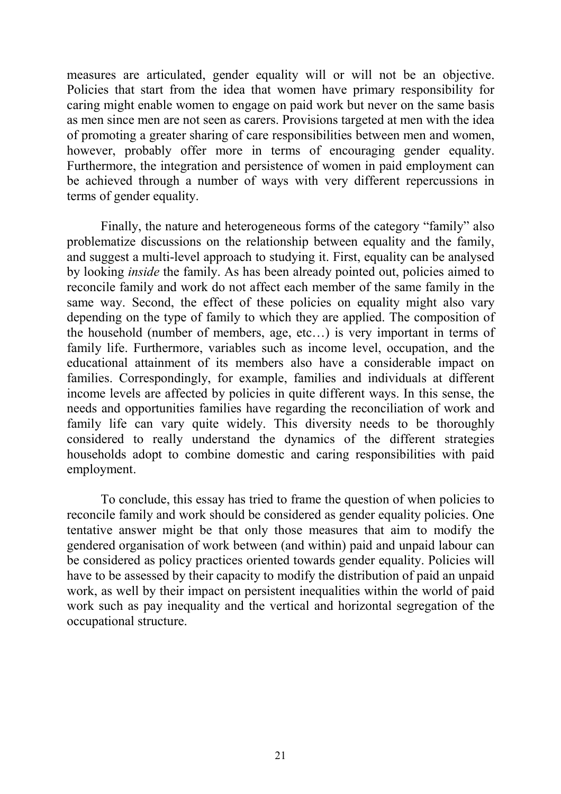measures are articulated, gender equality will or will not be an objective. Policies that start from the idea that women have primary responsibility for caring might enable women to engage on paid work but never on the same basis as men since men are not seen as carers. Provisions targeted at men with the idea of promoting a greater sharing of care responsibilities between men and women, however, probably offer more in terms of encouraging gender equality. Furthermore, the integration and persistence of women in paid employment can be achieved through a number of ways with very different repercussions in terms of gender equality.

Finally, the nature and heterogeneous forms of the category "family" also problematize discussions on the relationship between equality and the family, and suggest a multi-level approach to studying it. First, equality can be analysed by looking *inside* the family. As has been already pointed out, policies aimed to reconcile family and work do not affect each member of the same family in the same way. Second, the effect of these policies on equality might also vary depending on the type of family to which they are applied. The composition of the household (number of members, age, etc…) is very important in terms of family life. Furthermore, variables such as income level, occupation, and the educational attainment of its members also have a considerable impact on families. Correspondingly, for example, families and individuals at different income levels are affected by policies in quite different ways. In this sense, the needs and opportunities families have regarding the reconciliation of work and family life can vary quite widely. This diversity needs to be thoroughly considered to really understand the dynamics of the different strategies households adopt to combine domestic and caring responsibilities with paid employment.

To conclude, this essay has tried to frame the question of when policies to reconcile family and work should be considered as gender equality policies. One tentative answer might be that only those measures that aim to modify the gendered organisation of work between (and within) paid and unpaid labour can be considered as policy practices oriented towards gender equality. Policies will have to be assessed by their capacity to modify the distribution of paid an unpaid work, as well by their impact on persistent inequalities within the world of paid work such as pay inequality and the vertical and horizontal segregation of the occupational structure.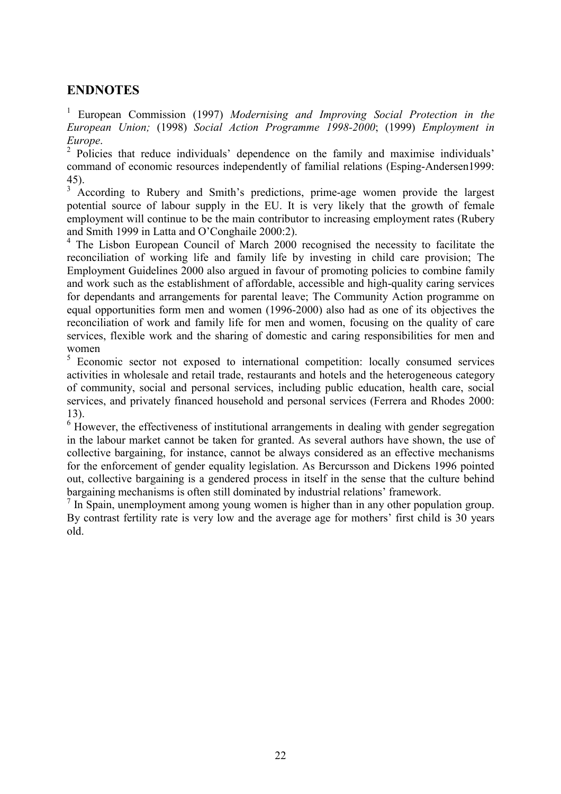#### **ENDNOTES**

<sup>1</sup> European Commission (1997) Modernising and Improving Social Protection in the *European Union;* (1998) *Social Action Programme 1998-2000*; (1999) *Employment in Europe*. <sup>2</sup>

<sup>2</sup> Policies that reduce individuals' dependence on the family and maximise individuals' command of economic resources independently of familial relations (Esping-Andersen1999: 45).

<sup>3</sup> According to Rubery and Smith's predictions, prime-age women provide the largest potential source of labour supply in the EU. It is very likely that the growth of female employment will continue to be the main contributor to increasing employment rates (Rubery and Smith 1999 in Latta and O'Conghaile 2000:2).

<sup>4</sup> The Lisbon European Council of March 2000 recognised the necessity to facilitate the reconciliation of working life and family life by investing in child care provision; The Employment Guidelines 2000 also argued in favour of promoting policies to combine family and work such as the establishment of affordable, accessible and high-quality caring services for dependants and arrangements for parental leave; The Community Action programme on equal opportunities form men and women (1996-2000) also had as one of its objectives the reconciliation of work and family life for men and women, focusing on the quality of care services, flexible work and the sharing of domestic and caring responsibilities for men and women

<sup>5</sup> Economic sector not exposed to international competition: locally consumed services activities in wholesale and retail trade, restaurants and hotels and the heterogeneous category of community, social and personal services, including public education, health care, social services, and privately financed household and personal services (Ferrera and Rhodes 2000: 13).

 $6$  However, the effectiveness of institutional arrangements in dealing with gender segregation in the labour market cannot be taken for granted. As several authors have shown, the use of collective bargaining, for instance, cannot be always considered as an effective mechanisms for the enforcement of gender equality legislation. As Bercursson and Dickens 1996 pointed out, collective bargaining is a gendered process in itself in the sense that the culture behind bargaining mechanisms is often still dominated by industrial relations' framework.

 $<sup>7</sup>$  In Spain, unemployment among young women is higher than in any other population group.</sup> By contrast fertility rate is very low and the average age for mothers' first child is 30 years old.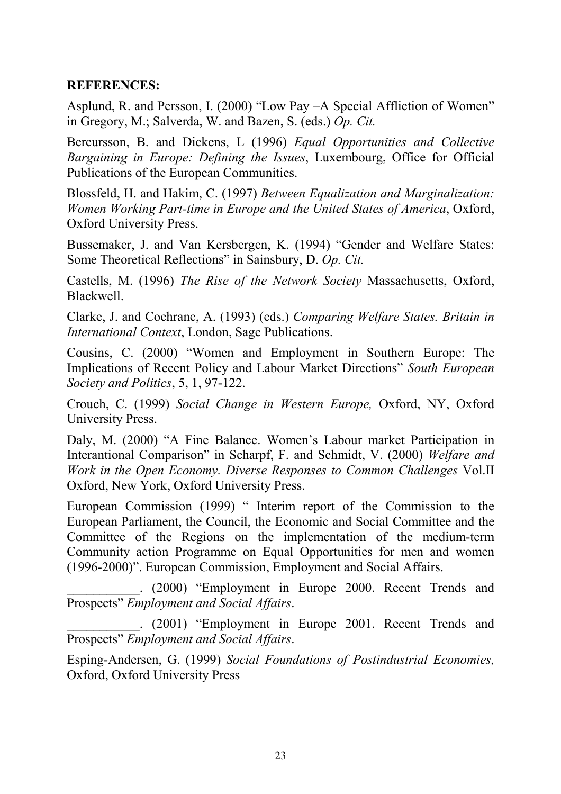#### **REFERENCES:**

Asplund, R. and Persson, I. (2000) "Low Pay –A Special Affliction of Women" in Gregory, M.; Salverda, W. and Bazen, S. (eds.) *Op. Cit.*

Bercursson, B. and Dickens, L (1996) *Equal Opportunities and Collective Bargaining in Europe: Defining the Issues*, Luxembourg, Office for Official Publications of the European Communities.

Blossfeld, H. and Hakim, C. (1997) *Between Equalization and Marginalization: Women Working Part-time in Europe and the United States of America*, Oxford, Oxford University Press.

Bussemaker, J. and Van Kersbergen, K. (1994) "Gender and Welfare States: Some Theoretical Reflections" in Sainsbury, D. *Op. Cit.*

Castells, M. (1996) *The Rise of the Network Society* Massachusetts, Oxford, Blackwell.

Clarke, J. and Cochrane, A. (1993) (eds.) *Comparing Welfare States. Britain in International Context*, London, Sage Publications.

Cousins, C. (2000) "Women and Employment in Southern Europe: The Implications of Recent Policy and Labour Market Directions" *South European Society and Politics*, 5, 1, 97-122.

Crouch, C. (1999) *Social Change in Western Europe,* Oxford, NY, Oxford University Press.

Daly, M. (2000) "A Fine Balance. Women's Labour market Participation in Interantional Comparison" in Scharpf, F. and Schmidt, V. (2000) *Welfare and Work in the Open Economy. Diverse Responses to Common Challenges* Vol.II Oxford, New York, Oxford University Press.

European Commission (1999) " Interim report of the Commission to the European Parliament, the Council, the Economic and Social Committee and the Committee of the Regions on the implementation of the medium-term Community action Programme on Equal Opportunities for men and women (1996-2000)". European Commission, Employment and Social Affairs.

\_\_\_\_\_\_\_\_\_\_\_. (2000) "Employment in Europe 2000. Recent Trends and Prospects" *Employment and Social Affairs*.

\_\_\_\_\_\_\_\_\_\_\_. (2001) "Employment in Europe 2001. Recent Trends and Prospects" *Employment and Social Affairs*.

Esping-Andersen, G. (1999) *Social Foundations of Postindustrial Economies,* Oxford, Oxford University Press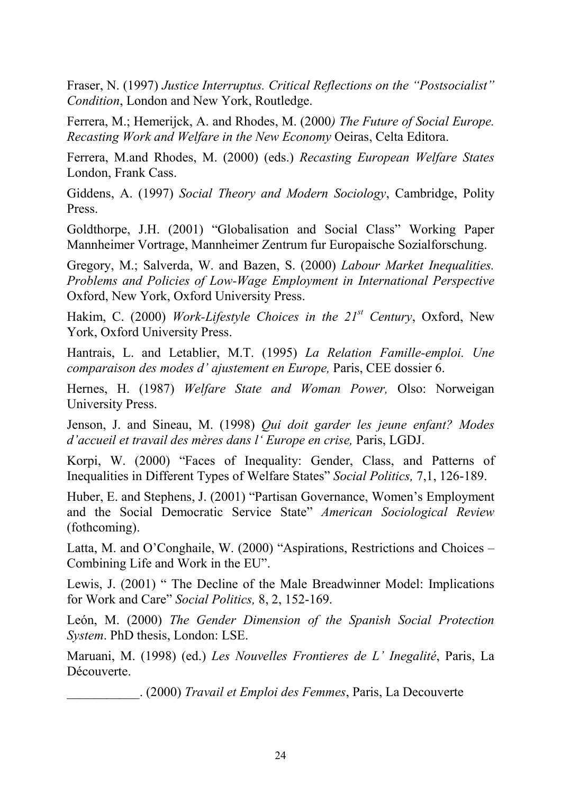Fraser, N. (1997) *Justice Interruptus. Critical Reflections on the "Postsocialist" Condition*, London and New York, Routledge.

Ferrera, M.; Hemerijck, A. and Rhodes, M. (2000*) The Future of Social Europe. Recasting Work and Welfare in the New Economy* Oeiras, Celta Editora.

Ferrera, M.and Rhodes, M. (2000) (eds.) *Recasting European Welfare States* London, Frank Cass.

Giddens, A. (1997) *Social Theory and Modern Sociology*, Cambridge, Polity Press.

Goldthorpe, J.H. (2001) "Globalisation and Social Class" Working Paper Mannheimer Vortrage, Mannheimer Zentrum fur Europaische Sozialforschung.

Gregory, M.; Salverda, W. and Bazen, S. (2000) *Labour Market Inequalities. Problems and Policies of Low-Wage Employment in International Perspective* Oxford, New York, Oxford University Press.

Hakim, C. (2000) *Work-Lifestyle Choices in the 21st Century*, Oxford, New York, Oxford University Press.

Hantrais, L. and Letablier, M.T. (1995) *La Relation Famille-emploi. Une comparaison des modes d' ajustement en Europe,* Paris, CEE dossier 6.

Hernes, H. (1987) *Welfare State and Woman Power,* Olso: Norweigan University Press.

Jenson, J. and Sineau, M. (1998) *Qui doit garder les jeune enfant? Modes d'accueil et travail des mères dans l' Europe en crise,* Paris, LGDJ.

Korpi, W. (2000) "Faces of Inequality: Gender, Class, and Patterns of Inequalities in Different Types of Welfare States" *Social Politics,* 7,1, 126-189.

Huber, E. and Stephens, J. (2001) "Partisan Governance, Women's Employment and the Social Democratic Service State" *American Sociological Review* (fothcoming).

Latta, M. and O'Conghaile, W. (2000) "Aspirations, Restrictions and Choices – Combining Life and Work in the EU".

Lewis, J. (2001) " The Decline of the Male Breadwinner Model: Implications for Work and Care" *Social Politics,* 8, 2, 152-169.

León, M. (2000) *The Gender Dimension of the Spanish Social Protection System*. PhD thesis, London: LSE.

Maruani, M. (1998) (ed.) *Les Nouvelles Frontieres de L' Inegalité*, Paris, La Découverte.

\_\_\_\_\_\_\_\_\_\_\_. (2000) *Travail et Emploi des Femmes*, Paris, La Decouverte